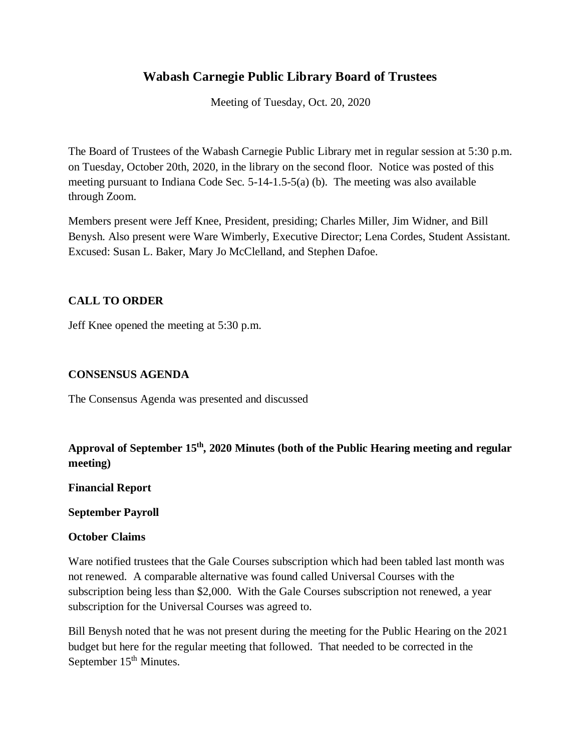# **Wabash Carnegie Public Library Board of Trustees**

Meeting of Tuesday, Oct. 20, 2020

The Board of Trustees of the Wabash Carnegie Public Library met in regular session at 5:30 p.m. on Tuesday, October 20th, 2020, in the library on the second floor. Notice was posted of this meeting pursuant to Indiana Code Sec. 5-14-1.5-5(a) (b). The meeting was also available through Zoom.

Members present were Jeff Knee, President, presiding; Charles Miller, Jim Widner, and Bill Benysh. Also present were Ware Wimberly, Executive Director; Lena Cordes, Student Assistant. Excused: Susan L. Baker, Mary Jo McClelland, and Stephen Dafoe.

## **CALL TO ORDER**

Jeff Knee opened the meeting at 5:30 p.m.

## **CONSENSUS AGENDA**

The Consensus Agenda was presented and discussed

# **Approval of September 15th, 2020 Minutes (both of the Public Hearing meeting and regular meeting)**

**Financial Report**

### **September Payroll**

### **October Claims**

Ware notified trustees that the Gale Courses subscription which had been tabled last month was not renewed. A comparable alternative was found called Universal Courses with the subscription being less than \$2,000. With the Gale Courses subscription not renewed, a year subscription for the Universal Courses was agreed to.

Bill Benysh noted that he was not present during the meeting for the Public Hearing on the 2021 budget but here for the regular meeting that followed. That needed to be corrected in the September  $15<sup>th</sup>$  Minutes.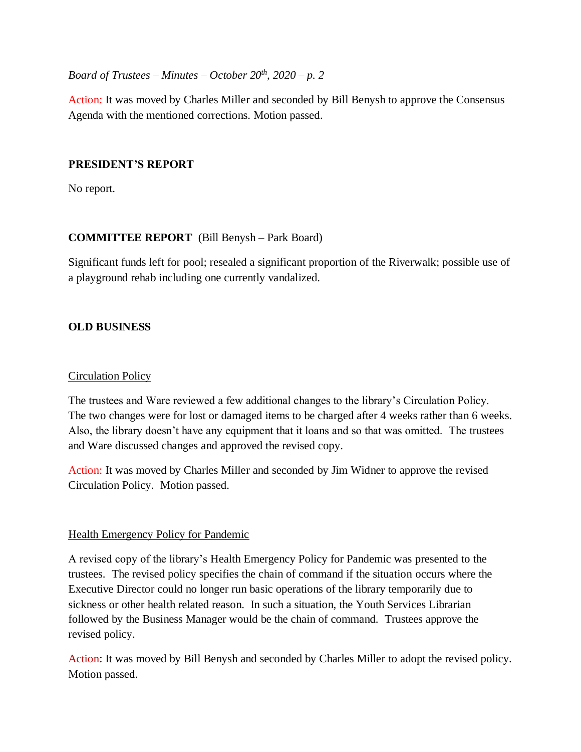*Board of Trustees – Minutes – October*  $20^{th}$ *,*  $2020 - p$ *. 2* 

Action: It was moved by Charles Miller and seconded by Bill Benysh to approve the Consensus Agenda with the mentioned corrections. Motion passed.

## **PRESIDENT'S REPORT**

No report.

## **COMMITTEE REPORT** (Bill Benysh – Park Board)

Significant funds left for pool; resealed a significant proportion of the Riverwalk; possible use of a playground rehab including one currently vandalized.

## **OLD BUSINESS**

## Circulation Policy

The trustees and Ware reviewed a few additional changes to the library's Circulation Policy. The two changes were for lost or damaged items to be charged after 4 weeks rather than 6 weeks. Also, the library doesn't have any equipment that it loans and so that was omitted. The trustees and Ware discussed changes and approved the revised copy.

Action: It was moved by Charles Miller and seconded by Jim Widner to approve the revised Circulation Policy. Motion passed.

## Health Emergency Policy for Pandemic

A revised copy of the library's Health Emergency Policy for Pandemic was presented to the trustees. The revised policy specifies the chain of command if the situation occurs where the Executive Director could no longer run basic operations of the library temporarily due to sickness or other health related reason. In such a situation, the Youth Services Librarian followed by the Business Manager would be the chain of command. Trustees approve the revised policy.

Action: It was moved by Bill Benysh and seconded by Charles Miller to adopt the revised policy. Motion passed.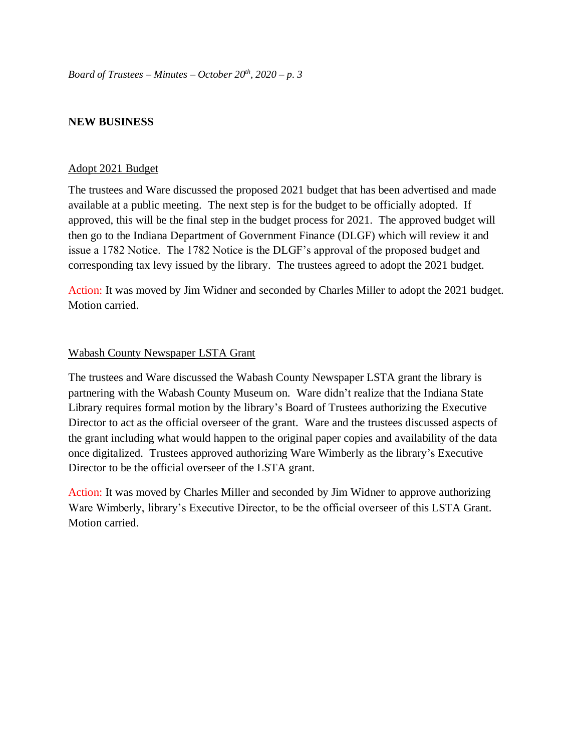## **NEW BUSINESS**

#### Adopt 2021 Budget

The trustees and Ware discussed the proposed 2021 budget that has been advertised and made available at a public meeting. The next step is for the budget to be officially adopted. If approved, this will be the final step in the budget process for 2021. The approved budget will then go to the Indiana Department of Government Finance (DLGF) which will review it and issue a 1782 Notice. The 1782 Notice is the DLGF's approval of the proposed budget and corresponding tax levy issued by the library. The trustees agreed to adopt the 2021 budget.

Action: It was moved by Jim Widner and seconded by Charles Miller to adopt the 2021 budget. Motion carried.

### Wabash County Newspaper LSTA Grant

The trustees and Ware discussed the Wabash County Newspaper LSTA grant the library is partnering with the Wabash County Museum on. Ware didn't realize that the Indiana State Library requires formal motion by the library's Board of Trustees authorizing the Executive Director to act as the official overseer of the grant. Ware and the trustees discussed aspects of the grant including what would happen to the original paper copies and availability of the data once digitalized. Trustees approved authorizing Ware Wimberly as the library's Executive Director to be the official overseer of the LSTA grant.

Action: It was moved by Charles Miller and seconded by Jim Widner to approve authorizing Ware Wimberly, library's Executive Director, to be the official overseer of this LSTA Grant. Motion carried.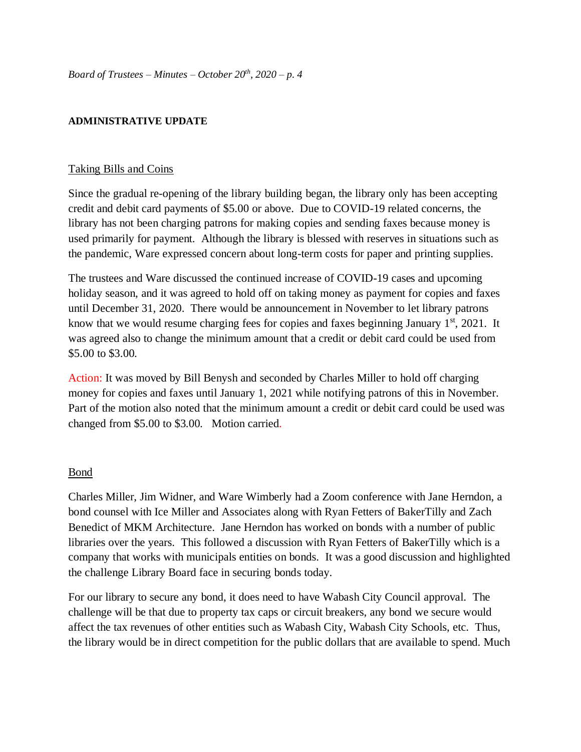### **ADMINISTRATIVE UPDATE**

### Taking Bills and Coins

Since the gradual re-opening of the library building began, the library only has been accepting credit and debit card payments of \$5.00 or above. Due to COVID-19 related concerns, the library has not been charging patrons for making copies and sending faxes because money is used primarily for payment. Although the library is blessed with reserves in situations such as the pandemic, Ware expressed concern about long-term costs for paper and printing supplies.

The trustees and Ware discussed the continued increase of COVID-19 cases and upcoming holiday season, and it was agreed to hold off on taking money as payment for copies and faxes until December 31, 2020. There would be announcement in November to let library patrons know that we would resume charging fees for copies and faxes beginning January 1<sup>st</sup>, 2021. It was agreed also to change the minimum amount that a credit or debit card could be used from \$5.00 to \$3.00.

Action: It was moved by Bill Benysh and seconded by Charles Miller to hold off charging money for copies and faxes until January 1, 2021 while notifying patrons of this in November. Part of the motion also noted that the minimum amount a credit or debit card could be used was changed from \$5.00 to \$3.00. Motion carried.

#### Bond

Charles Miller, Jim Widner, and Ware Wimberly had a Zoom conference with Jane Herndon, a bond counsel with Ice Miller and Associates along with Ryan Fetters of BakerTilly and Zach Benedict of MKM Architecture. Jane Herndon has worked on bonds with a number of public libraries over the years. This followed a discussion with Ryan Fetters of BakerTilly which is a company that works with municipals entities on bonds. It was a good discussion and highlighted the challenge Library Board face in securing bonds today.

For our library to secure any bond, it does need to have Wabash City Council approval. The challenge will be that due to property tax caps or circuit breakers, any bond we secure would affect the tax revenues of other entities such as Wabash City, Wabash City Schools, etc. Thus, the library would be in direct competition for the public dollars that are available to spend. Much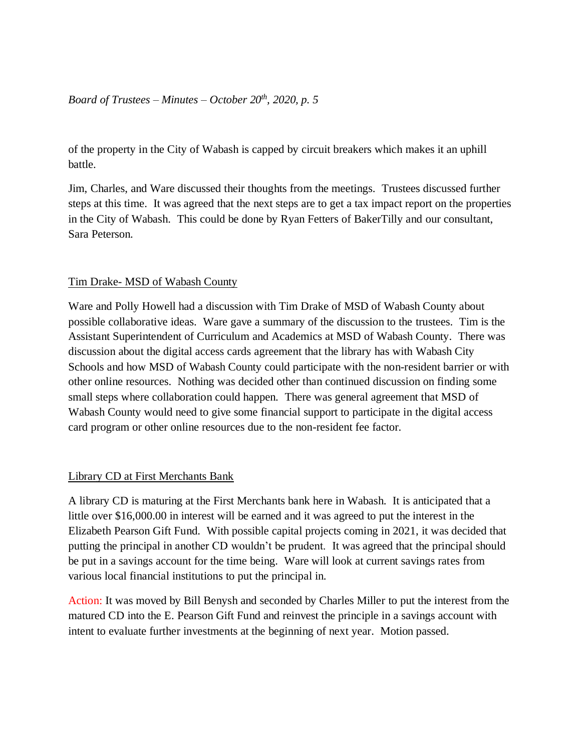## *Board of Trustees – Minutes – October 20th, 2020, p. 5*

of the property in the City of Wabash is capped by circuit breakers which makes it an uphill battle.

Jim, Charles, and Ware discussed their thoughts from the meetings. Trustees discussed further steps at this time. It was agreed that the next steps are to get a tax impact report on the properties in the City of Wabash. This could be done by Ryan Fetters of BakerTilly and our consultant, Sara Peterson.

## Tim Drake- MSD of Wabash County

Ware and Polly Howell had a discussion with Tim Drake of MSD of Wabash County about possible collaborative ideas. Ware gave a summary of the discussion to the trustees. Tim is the Assistant Superintendent of Curriculum and Academics at MSD of Wabash County. There was discussion about the digital access cards agreement that the library has with Wabash City Schools and how MSD of Wabash County could participate with the non-resident barrier or with other online resources. Nothing was decided other than continued discussion on finding some small steps where collaboration could happen. There was general agreement that MSD of Wabash County would need to give some financial support to participate in the digital access card program or other online resources due to the non-resident fee factor.

### Library CD at First Merchants Bank

A library CD is maturing at the First Merchants bank here in Wabash. It is anticipated that a little over \$16,000.00 in interest will be earned and it was agreed to put the interest in the Elizabeth Pearson Gift Fund. With possible capital projects coming in 2021, it was decided that putting the principal in another CD wouldn't be prudent. It was agreed that the principal should be put in a savings account for the time being. Ware will look at current savings rates from various local financial institutions to put the principal in.

Action: It was moved by Bill Benysh and seconded by Charles Miller to put the interest from the matured CD into the E. Pearson Gift Fund and reinvest the principle in a savings account with intent to evaluate further investments at the beginning of next year. Motion passed.